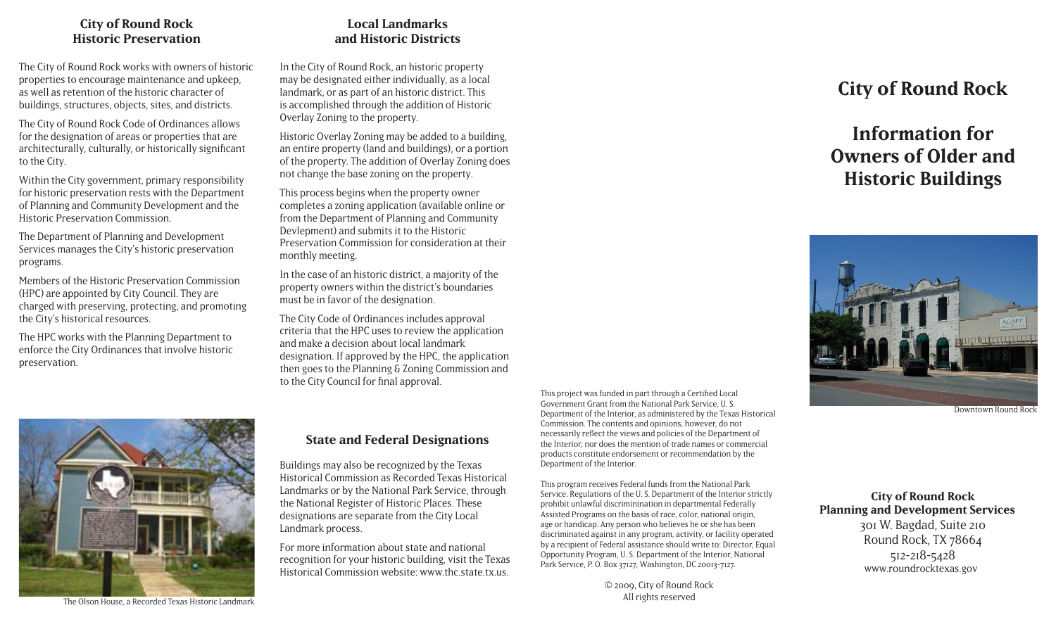## **City of Round Rock Historic Preservation**

The City of Round Rock works with owners of historic properties to encourage maintenance and upkeep, as well as retention of the historic character of buildings, structures, objects, sites, and districts.

The City of Round Rock Code of Ordinances allows for the designation of areas or properties that are architecturally, culturally, or historically significant to the City.

Within the City government, primary responsibility for historic preservation rests with the Department of Planning and Community Development and the Historic Preservation Commission.

The Department of Planning and Development Services manages the City's historic preservation programs.

Members of the Historic Preservation Commission (HPC) are appointed by City Council. They are charged with preserving, protecting, and promoting the City's historical resources.

The HPC works with the Planning Department to enforce the City Ordinances that involve historic preservation.

# **Local Landmarks and Historic Districts**

In the City of Round Rock, an historic property may be designated either individually, as a local landmark, or as part of an historic district. This is accomplished through the addition of Historic Overlay Zoning to the property.

Historic Overlay Zoning may be added to a building, an entire property (land and buildings), or a portion of the property. The addition of Overlay Zoning does not change the base zoning on the property.

This process begins when the property owner completes a zoning application (available online or from the Department of Planning and Community Devlepment) and submits it to the Historic Preservation Commission for consideration at their monthly meeting.

In the case of an historic district, a majority of the property owners within the district's boundaries must be in favor of the designation.

The City Code of Ordinances includes approval criteria that the HPC uses to review the application and make a decision about local landmark designation. If approved by the HPC, the application then goes to the Planning & Zoning Commission and to the City Council for final approval.



# **Information for Owners of Older and Historic Buildings**



Downtown Round Rock



**State and Federal Designations**

Buildings may also be recognized by the Texas Historical Commission as Recorded Texas Historical Landmarks or by the National Park Service, through the National Register of Historic Places. These designations are separate from the City Local Landmark process.

For more information about state and national recognition for your historic building, visit the Texas Historical Commission website: www.thc.state.tx.us.

This project was funded in part through a Certified Local Government Grant from the National Park Service, U. S. Department of the Interior, as administered by the Texas Historical Commission. The contents and opinions, however, do not necessarily reflect the views and policies of the Department of the Interior, nor does the mention of trade names or commercial products constitute endorsement or recommendation by the Department of the Interior.

This program receives Federal funds from the National Park Service. Regulations of the U. S. Department of the Interior strictly prohibit unlawful discriminination in departmental Federally Assisted Programs on the basis of race, color, national origin, age or handicap. Any person who believes he or she has been discriminated against in any program, activity, or facility operated by a recipient of Federal assistance should write to: Director, Equal Opportunity Program, U. S. Department of the Interior, National Park Service, P. O. Box 37127, Washington, DC 20013-7127.

> © 2009, City of Round Rock All rights reserved

**City of Round Rock Planning and Development Services** 301 W. Bagdad, Suite 210 Round Rock, TX 78664 512-218-5428 www.roundrocktexas.gov

The Olson House, a Recorded Texas Historic Landmark